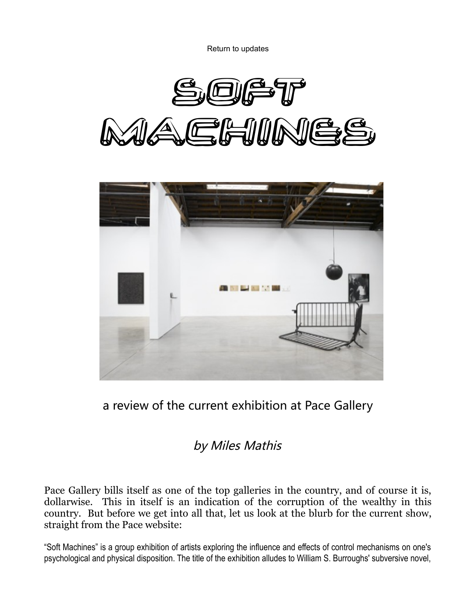Return to updates





a review of the current exhibition at Pace Gallery

## by Miles Mathis

Pace Gallery bills itself as one of the top galleries in the country, and of course it is, dollarwise. This in itself is an indication of the corruption of the wealthy in this country. But before we get into all that, let us look at the blurb for the current show, straight from the Pace website:

"Soft Machines" is a group exhibition of artists exploring the influence and effects of control mechanisms on one's psychological and physical disposition. The title of the exhibition alludes to William S. Burroughs' subversive novel,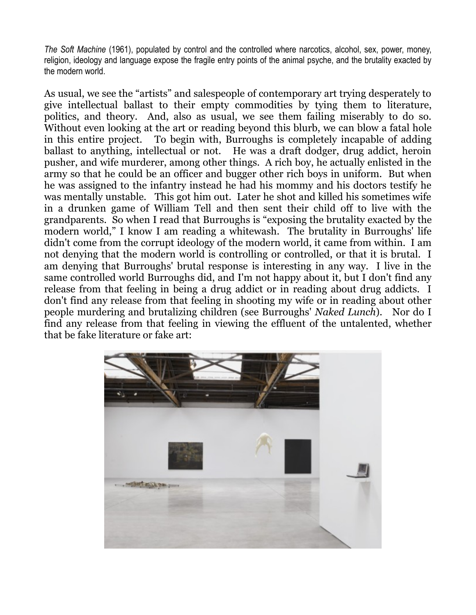*The Soft Machine* (1961), populated by control and the controlled where narcotics, alcohol, sex, power, money, religion, ideology and language expose the fragile entry points of the animal psyche, and the brutality exacted by the modern world.

As usual, we see the "artists" and salespeople of contemporary art trying desperately to give intellectual ballast to their empty commodities by tying them to literature, politics, and theory. And, also as usual, we see them failing miserably to do so. Without even looking at the art or reading beyond this blurb, we can blow a fatal hole in this entire project. To begin with, Burroughs is completely incapable of adding ballast to anything, intellectual or not. He was a draft dodger, drug addict, heroin pusher, and wife murderer, among other things. A rich boy, he actually enlisted in the army so that he could be an officer and bugger other rich boys in uniform. But when he was assigned to the infantry instead he had his mommy and his doctors testify he was mentally unstable. This got him out. Later he shot and killed his sometimes wife in a drunken game of William Tell and then sent their child off to live with the grandparents. So when I read that Burroughs is "exposing the brutality exacted by the modern world," I know I am reading a whitewash. The brutality in Burroughs' life didn't come from the corrupt ideology of the modern world, it came from within. I am not denying that the modern world is controlling or controlled, or that it is brutal. I am denying that Burroughs' brutal response is interesting in any way. I live in the same controlled world Burroughs did, and I'm not happy about it, but I don't find any release from that feeling in being a drug addict or in reading about drug addicts. I don't find any release from that feeling in shooting my wife or in reading about other people murdering and brutalizing children (see Burroughs' *Naked Lunch*). Nor do I find any release from that feeling in viewing the effluent of the untalented, whether that be fake literature or fake art:

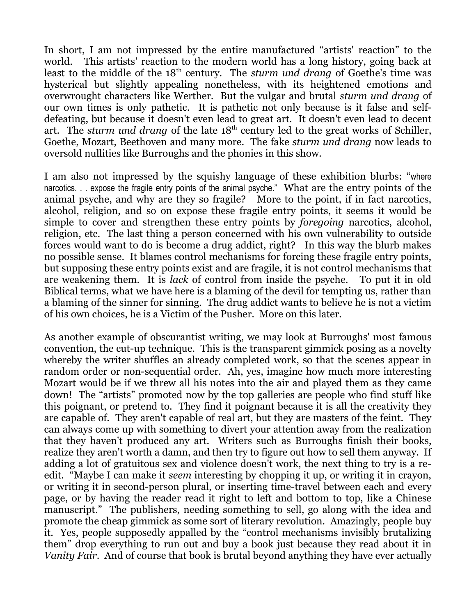In short, I am not impressed by the entire manufactured "artists' reaction" to the world. This artists' reaction to the modern world has a long history, going back at least to the middle of the 18<sup>th</sup> century. The *sturm und drang* of Goethe's time was hysterical but slightly appealing nonetheless, with its heightened emotions and overwrought characters like Werther. But the vulgar and brutal *sturm und drang* of our own times is only pathetic. It is pathetic not only because is it false and selfdefeating, but because it doesn't even lead to great art. It doesn't even lead to decent art. The *sturm und drang* of the late 18<sup>th</sup> century led to the great works of Schiller, Goethe, Mozart, Beethoven and many more. The fake *sturm und drang* now leads to oversold nullities like Burroughs and the phonies in this show.

I am also not impressed by the squishy language of these exhibition blurbs: "where narcotics. . . expose the fragile entry points of the animal psyche." What are the entry points of the animal psyche, and why are they so fragile? More to the point, if in fact narcotics, alcohol, religion, and so on expose these fragile entry points, it seems it would be simple to cover and strengthen these entry points by *foregoing* narcotics, alcohol, religion, etc. The last thing a person concerned with his own vulnerability to outside forces would want to do is become a drug addict, right? In this way the blurb makes no possible sense. It blames control mechanisms for forcing these fragile entry points, but supposing these entry points exist and are fragile, it is not control mechanisms that are weakening them. It is *lack* of control from inside the psyche. To put it in old Biblical terms, what we have here is a blaming of the devil for tempting us, rather than a blaming of the sinner for sinning. The drug addict wants to believe he is not a victim of his own choices, he is a Victim of the Pusher. More on this later.

As another example of obscurantist writing, we may look at Burroughs' most famous convention, the cut-up technique. This is the transparent gimmick posing as a novelty whereby the writer shuffles an already completed work, so that the scenes appear in random order or non-sequential order. Ah, yes, imagine how much more interesting Mozart would be if we threw all his notes into the air and played them as they came down! The "artists" promoted now by the top galleries are people who find stuff like this poignant, or pretend to. They find it poignant because it is all the creativity they are capable of. They aren't capable of real art, but they are masters of the feint. They can always come up with something to divert your attention away from the realization that they haven't produced any art. Writers such as Burroughs finish their books, realize they aren't worth a damn, and then try to figure out how to sell them anyway. If adding a lot of gratuitous sex and violence doesn't work, the next thing to try is a reedit. "Maybe I can make it *seem* interesting by chopping it up, or writing it in crayon, or writing it in second-person plural, or inserting time-travel between each and every page, or by having the reader read it right to left and bottom to top, like a Chinese manuscript." The publishers, needing something to sell, go along with the idea and promote the cheap gimmick as some sort of literary revolution. Amazingly, people buy it. Yes, people supposedly appalled by the "control mechanisms invisibly brutalizing them" drop everything to run out and buy a book just because they read about it in *Vanity Fair*. And of course that book is brutal beyond anything they have ever actually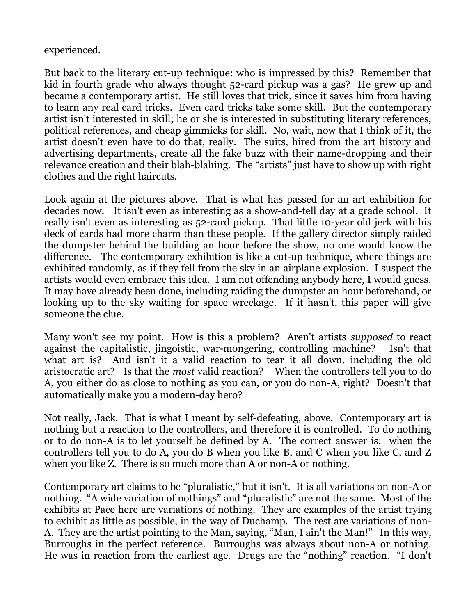## experienced.

But back to the literary cut-up technique: who is impressed by this? Remember that kid in fourth grade who always thought 52-card pickup was a gas? He grew up and became a contemporary artist. He still loves that trick, since it saves him from having to learn any real card tricks. Even card tricks take some skill. But the contemporary artist isn't interested in skill; he or she is interested in substituting literary references, political references, and cheap gimmicks for skill. No, wait, now that I think of it, the artist doesn't even have to do that, really. The suits, hired from the art history and advertising departments, create all the fake buzz with their name-dropping and their relevance creation and their blah-blahing. The "artists" just have to show up with right clothes and the right haircuts.

Look again at the pictures above. That is what has passed for an art exhibition for decades now. It isn't even as interesting as a show-and-tell day at a grade school. It really isn't even as interesting as 52-card pickup. That little 10-year old jerk with his deck of cards had more charm than these people. If the gallery director simply raided the dumpster behind the building an hour before the show, no one would know the difference. The contemporary exhibition is like a cut-up technique, where things are exhibited randomly, as if they fell from the sky in an airplane explosion. I suspect the artists would even embrace this idea. I am not offending anybody here, I would guess. It may have already been done, including raiding the dumpster an hour beforehand, or looking up to the sky waiting for space wreckage. If it hasn't, this paper will give someone the clue.

Many won't see my point. How is this a problem? Aren't artists *supposed* to react against the capitalistic, jingoistic, war-mongering, controlling machine? Isn't that what art is? And isn't it a valid reaction to tear it all down, including the old aristocratic art? Is that the *most* valid reaction? When the controllers tell you to do A, you either do as close to nothing as you can, or you do non-A, right? Doesn't that automatically make you a modern-day hero?

Not really, Jack. That is what I meant by self-defeating, above. Contemporary art is nothing but a reaction to the controllers, and therefore it is controlled. To do nothing or to do non-A is to let yourself be defined by A. The correct answer is: when the controllers tell you to do A, you do B when you like B, and C when you like C, and Z when you like Z. There is so much more than A or non-A or nothing.

Contemporary art claims to be "pluralistic," but it isn't. It is all variations on non-A or nothing. "A wide variation of nothings" and "pluralistic" are not the same. Most of the exhibits at Pace here are variations of nothing. They are examples of the artist trying to exhibit as little as possible, in the way of Duchamp. The rest are variations of non-A. They are the artist pointing to the Man, saying, "Man, I ain't the Man!" In this way, Burroughs in the perfect reference. Burroughs was always about non-A or nothing. He was in reaction from the earliest age. Drugs are the "nothing" reaction. "I don't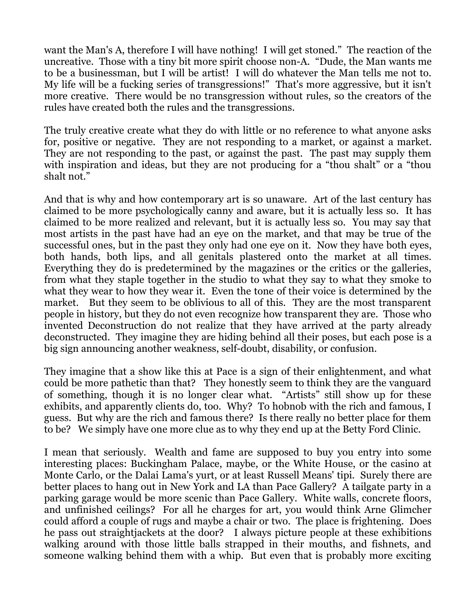want the Man's A, therefore I will have nothing! I will get stoned." The reaction of the uncreative. Those with a tiny bit more spirit choose non-A. "Dude, the Man wants me to be a businessman, but I will be artist! I will do whatever the Man tells me not to. My life will be a fucking series of transgressions!" That's more aggressive, but it isn't more creative. There would be no transgression without rules, so the creators of the rules have created both the rules and the transgressions.

The truly creative create what they do with little or no reference to what anyone asks for, positive or negative. They are not responding to a market, or against a market. They are not responding to the past, or against the past. The past may supply them with inspiration and ideas, but they are not producing for a "thou shalt" or a "thou shalt not."

And that is why and how contemporary art is so unaware. Art of the last century has claimed to be more psychologically canny and aware, but it is actually less so. It has claimed to be more realized and relevant, but it is actually less so. You may say that most artists in the past have had an eye on the market, and that may be true of the successful ones, but in the past they only had one eye on it. Now they have both eyes, both hands, both lips, and all genitals plastered onto the market at all times. Everything they do is predetermined by the magazines or the critics or the galleries, from what they staple together in the studio to what they say to what they smoke to what they wear to how they wear it. Even the tone of their voice is determined by the market. But they seem to be oblivious to all of this. They are the most transparent people in history, but they do not even recognize how transparent they are. Those who invented Deconstruction do not realize that they have arrived at the party already deconstructed. They imagine they are hiding behind all their poses, but each pose is a big sign announcing another weakness, self-doubt, disability, or confusion.

They imagine that a show like this at Pace is a sign of their enlightenment, and what could be more pathetic than that? They honestly seem to think they are the vanguard of something, though it is no longer clear what. "Artists" still show up for these exhibits, and apparently clients do, too. Why? To hobnob with the rich and famous, I guess. But why are the rich and famous there? Is there really no better place for them to be? We simply have one more clue as to why they end up at the Betty Ford Clinic.

I mean that seriously. Wealth and fame are supposed to buy you entry into some interesting places: Buckingham Palace, maybe, or the White House, or the casino at Monte Carlo, or the Dalai Lama's yurt, or at least Russell Means' tipi. Surely there are better places to hang out in New York and LA than Pace Gallery? A tailgate party in a parking garage would be more scenic than Pace Gallery. White walls, concrete floors, and unfinished ceilings? For all he charges for art, you would think Arne Glimcher could afford a couple of rugs and maybe a chair or two. The place is frightening. Does he pass out straightjackets at the door? I always picture people at these exhibitions walking around with those little balls strapped in their mouths, and fishnets, and someone walking behind them with a whip. But even that is probably more exciting